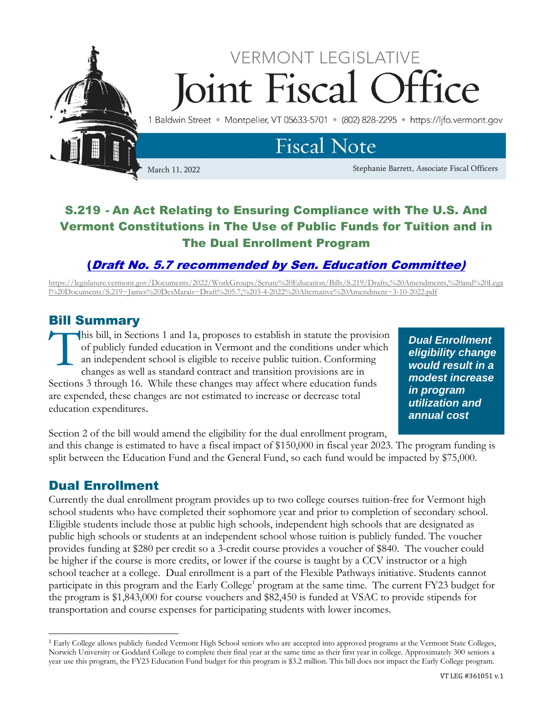

## S.219 - An Act Relating to Ensuring Compliance with The U.S. And Vermont Constitutions in The Use of Public Funds for Tuition and in The Dual Enrollment Program

## (Draft No. 5.7 recommended by [Sen. Education Committee\)](https://legislature.vermont.gov/Documents/2022/WorkGroups/Senate%20Education/Bills/S.219/Drafts,%20Amendments,%20and%20Legal%20Documents/S.219~James%20DesMarais~Draft%205.7,%203-4-2022%20Alternative%20Amendment~3-10-2022.pdf)

[https://legislature.vermont.gov/Documents/2022/WorkGroups/Senate%20Education/Bills/S.219/Drafts,%20Amendments,%20and%20Lega](https://legislature.vermont.gov/Documents/2022/WorkGroups/Senate%20Education/Bills/S.219/Drafts,%20Amendments,%20and%20Legal%20Documents/S.219~James%20DesMarais~Draft%205.7,%203-4-2022%20Alternative%20Amendment~3-10-2022.pdf) [l%20Documents/S.219~James%20DesMarais~Draft%205.7,%203-4-2022%20Alternative%20Amendment~3-10-2022.pdf](https://legislature.vermont.gov/Documents/2022/WorkGroups/Senate%20Education/Bills/S.219/Drafts,%20Amendments,%20and%20Legal%20Documents/S.219~James%20DesMarais~Draft%205.7,%203-4-2022%20Alternative%20Amendment~3-10-2022.pdf)

## Bill Summary

his bill, in Sections 1 and 1a, proposes to establish in statute the provision of publicly funded education in Vermont and the conditions under which an independent school is eligible to receive public tuition. Conforming changes as well as standard contract and transition provisions are in Sections 3 through 16. While these changes may affect where education funds are expended, these changes are not estimated to increase or decrease total education expenditures. T

*Dual Enrollment eligibility change would result in a modest increase in program utilization and annual cost* 

Section 2 of the bill would amend the eligibility for the dual enrollment program,

and this change is estimated to have a fiscal impact of \$150,000 in fiscal year 2023. The program funding is split between the Education Fund and the General Fund, so each fund would be impacted by \$75,000.

## Dual Enrollment

Currently the dual enrollment program provides up to two college courses tuition-free for Vermont high school students who have completed their sophomore year and prior to completion of secondary school. Eligible students include those at public high schools, independent high schools that are designated as public high schools or students at an independent school whose tuition is publicly funded. The voucher provides funding at \$280 per credit so a 3-credit course provides a voucher of \$840. The voucher could be higher if the course is more credits, or lower if the course is taught by a CCV instructor or a high school teacher at a college. Dual enrollment is a part of the Flexible Pathways initiative. Students cannot participate in this program and the Early College<sup>1</sup> program at the same time. The current FY23 budget for the program is \$1,843,000 for course vouchers and \$82,450 is funded at VSAC to provide stipends for transportation and course expenses for participating students with lower incomes.

<sup>&</sup>lt;sup>1</sup> Early College allows publicly funded Vermont High School seniors who are accepted into approved programs at the Vermont State Colleges, Norwich University or Goddard College to complete their final year at the same time as their first year in college. Approximately 300 seniors a year use this program, the FY23 Education Fund budget for this program is \$3.2 million. This bill does not impact the Early College program.